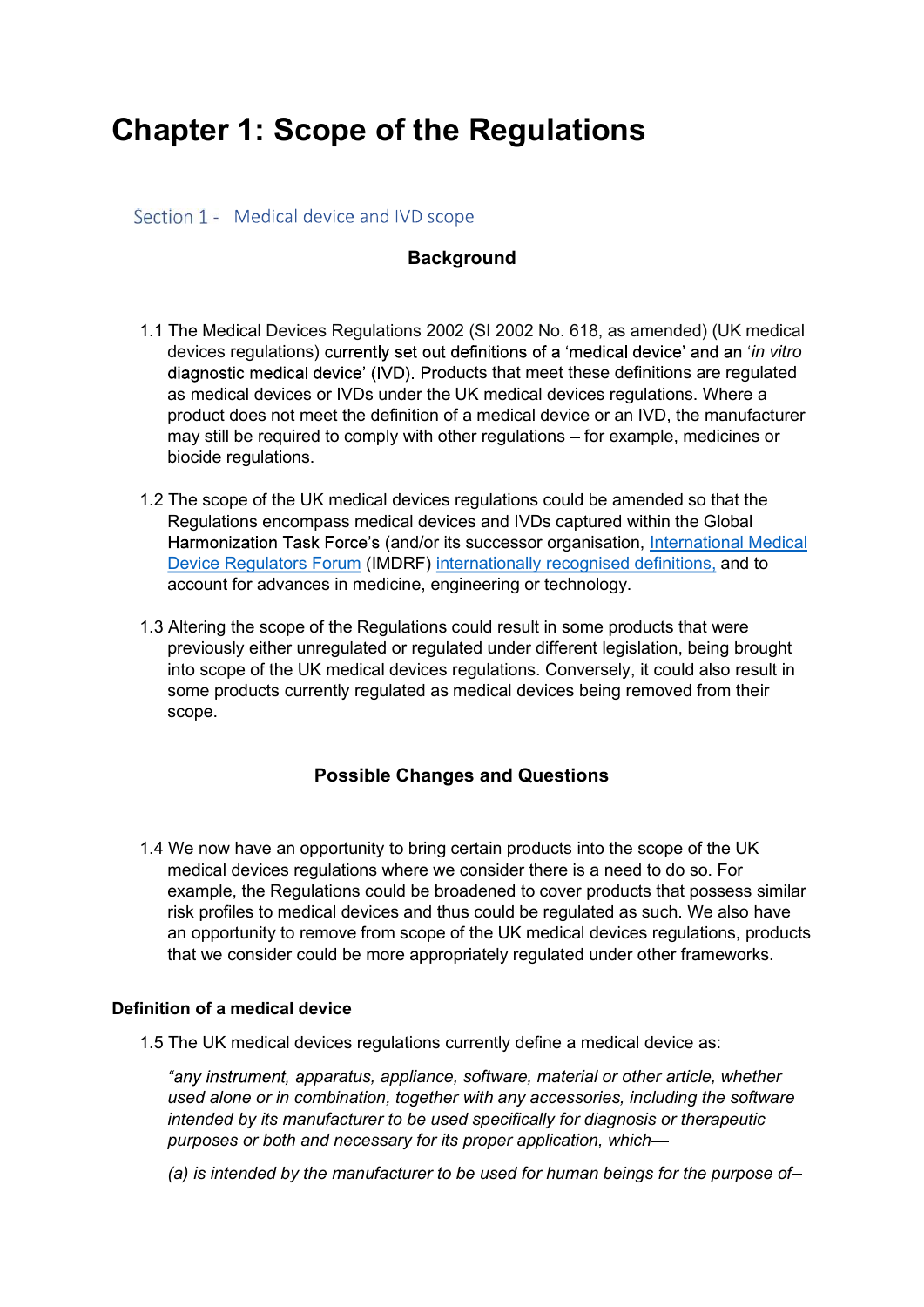# Chapter 1: Scope of the Regulations

Section 1 - Medical device and IVD scope

## **Background**

- 1.1 The Medical Devices Regulations 2002 (SI 2002 No. 618, as amended) (UK medical devices regulations) currently set out definitions of a 'medical device' and an 'in vitro diagnostic medical device' (IVD). Products that meet these definitions are regulated as medical devices or IVDs under the UK medical devices regulations. Where a product does not meet the definition of a medical device or an IVD, the manufacturer may still be required to comply with other regulations – for example, medicines or biocide regulations.
- 1.2 The scope of the UK medical devices regulations could be amended so that the Regulations encompass medical devices and IVDs captured within the Global Harmonization Task Force's (and/or its successor organisation, International Medical Device Regulators Forum (IMDRF) internationally recognised definitions, and to account for advances in medicine, engineering or technology.
- 1.3 Altering the scope of the Regulations could result in some products that were previously either unregulated or regulated under different legislation, being brought into scope of the UK medical devices regulations. Conversely, it could also result in some products currently regulated as medical devices being removed from their scope.

## Possible Changes and Questions

1.4 We now have an opportunity to bring certain products into the scope of the UK medical devices regulations where we consider there is a need to do so. For example, the Regulations could be broadened to cover products that possess similar risk profiles to medical devices and thus could be regulated as such. We also have an opportunity to remove from scope of the UK medical devices regulations, products that we consider could be more appropriately regulated under other frameworks.

### Definition of a medical device

1.5 The UK medical devices regulations currently define a medical device as:

"any instrument, apparatus, appliance, software, material or other article, whether used alone or in combination, together with any accessories, including the software intended by its manufacturer to be used specifically for diagnosis or therapeutic purposes or both and necessary for its proper application, which—<br>(a) is intended by the manufacturer to be used for human beings for the purpose of—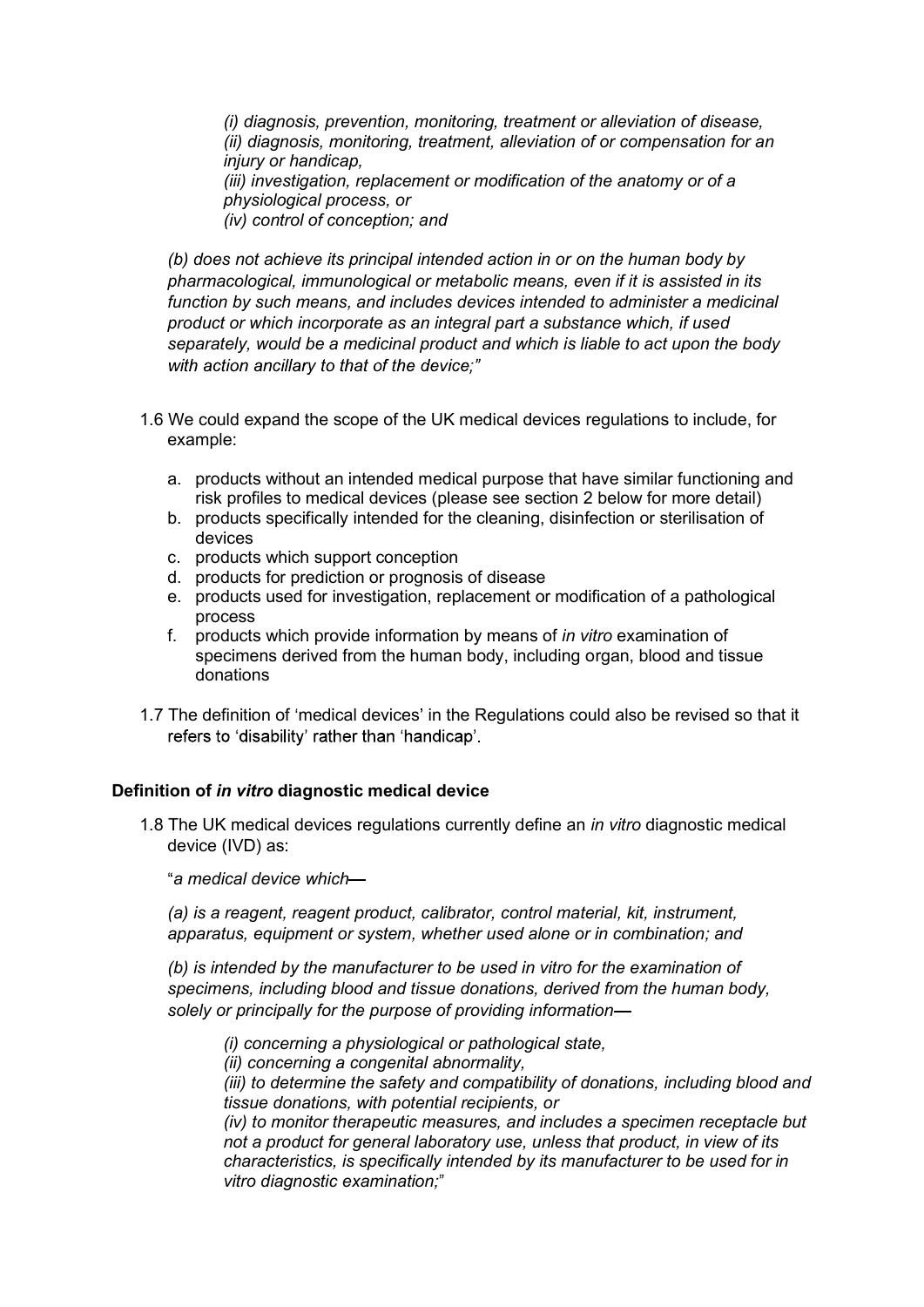(i) diagnosis, prevention, monitoring, treatment or alleviation of disease, (ii) diagnosis, monitoring, treatment, alleviation of or compensation for an injury or handicap, (iii) investigation, replacement or modification of the anatomy or of a physiological process, or (iv) control of conception; and

(b) does not achieve its principal intended action in or on the human body by pharmacological, immunological or metabolic means, even if it is assisted in its function by such means, and includes devices intended to administer a medicinal product or which incorporate as an integral part a substance which, if used separately, would be a medicinal product and which is liable to act upon the body with action ancillary to that of the device:"

- 1.6 We could expand the scope of the UK medical devices regulations to include, for example:
	- a. products without an intended medical purpose that have similar functioning and risk profiles to medical devices (please see section 2 below for more detail)
	- b. products specifically intended for the cleaning, disinfection or sterilisation of devices
	- c. products which support conception
	- d. products for prediction or prognosis of disease
	- e. products used for investigation, replacement or modification of a pathological process
	- f. products which provide information by means of in vitro examination of specimens derived from the human body, including organ, blood and tissue donations
- 1.7 The definition of 'medical devices' in the Regulations could also be revised so that it refers to 'disability' rather than 'handicap'.

### Definition of in vitro diagnostic medical device

1.8 The UK medical devices regulations currently define an in vitro diagnostic medical device (IVD) as:

a medical device which

(a) is a reagent, reagent product, calibrator, control material, kit, instrument, apparatus, equipment or system, whether used alone or in combination; and

(b) is intended by the manufacturer to be used in vitro for the examination of specimens, including blood and tissue donations, derived from the human body, solely or principally for the purpose of providing information (i) concerning a physiological or pathological state,

(ii) concerning a congenital abnormality,

(iii) to determine the safety and compatibility of donations, including blood and tissue donations, with potential recipients, or

(iv) to monitor therapeutic measures, and includes a specimen receptacle but not a product for general laboratory use, unless that product, in view of its characteristics, is specifically intended by its manufacturer to be used for in vitro diagnostic examination;"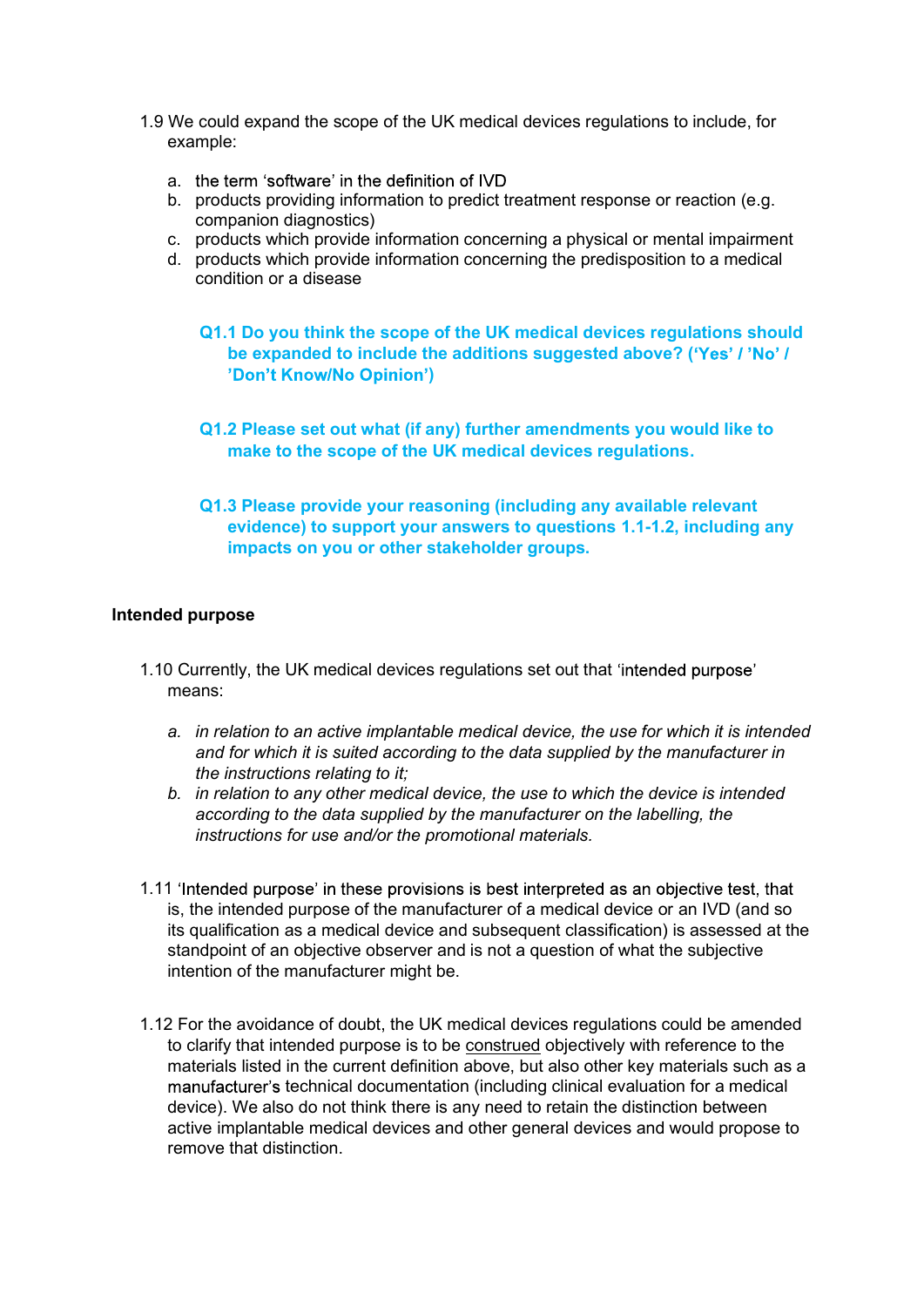- 1.9 We could expand the scope of the UK medical devices regulations to include, for<br>example:<br>a. the term 'software' in the definition of IVD<br>b. products providing information to predict treatment response or reaction (e.g. example:
	- a. the term 'software' in the definition of IVD
	- b. products providing information to predict treatment response or reaction (e.g. companion diagnostics)
	- c. products which provide information concerning a physical or mental impairment
	- d. products which provide information concerning the predisposition to a medical condition or a disease
		- Q1.1 Do you think the scope of the UK medical devices regulations should be expanded to include the additions suggested above? ('Yes' / 'No' / )
		- Q1.2 Please set out what (if any) further amendments you would like to make to the scope of the UK medical devices regulations.
		- Q1.3 Please provide your reasoning (including any available relevant evidence) to support your answers to questions 1.1-1.2, including any impacts on you or other stakeholder groups.

#### Intended purpose

- 1.10 Currently, the UK medical devices regulations set out that means:
	- a. in relation to an active implantable medical device, the use for which it is intended and for which it is suited according to the data supplied by the manufacturer in the instructions relating to it;
	- b. in relation to any other medical device, the use to which the device is intended according to the data supplied by the manufacturer on the labelling, the instructions for use and/or the promotional materials.
- 1.11 'Intended purpose' in these provisions is best interpreted as an objective test, that is, the intended purpose of the manufacturer of a medical device or an IVD (and so its qualification as a medical device and subsequent classification) is assessed at the standpoint of an objective observer and is not a question of what the subjective intention of the manufacturer might be.
- 1.12 For the avoidance of doubt, the UK medical devices regulations could be amended to clarify that intended purpose is to be construed objectively with reference to the materials listed in the current definition above, but also other key materials such as a manufacturer's technical documentation (including clinical evaluation for a medical device). We also do not think there is any need to retain the distinction between active implantable medical devices and other general devices and would propose to remove that distinction.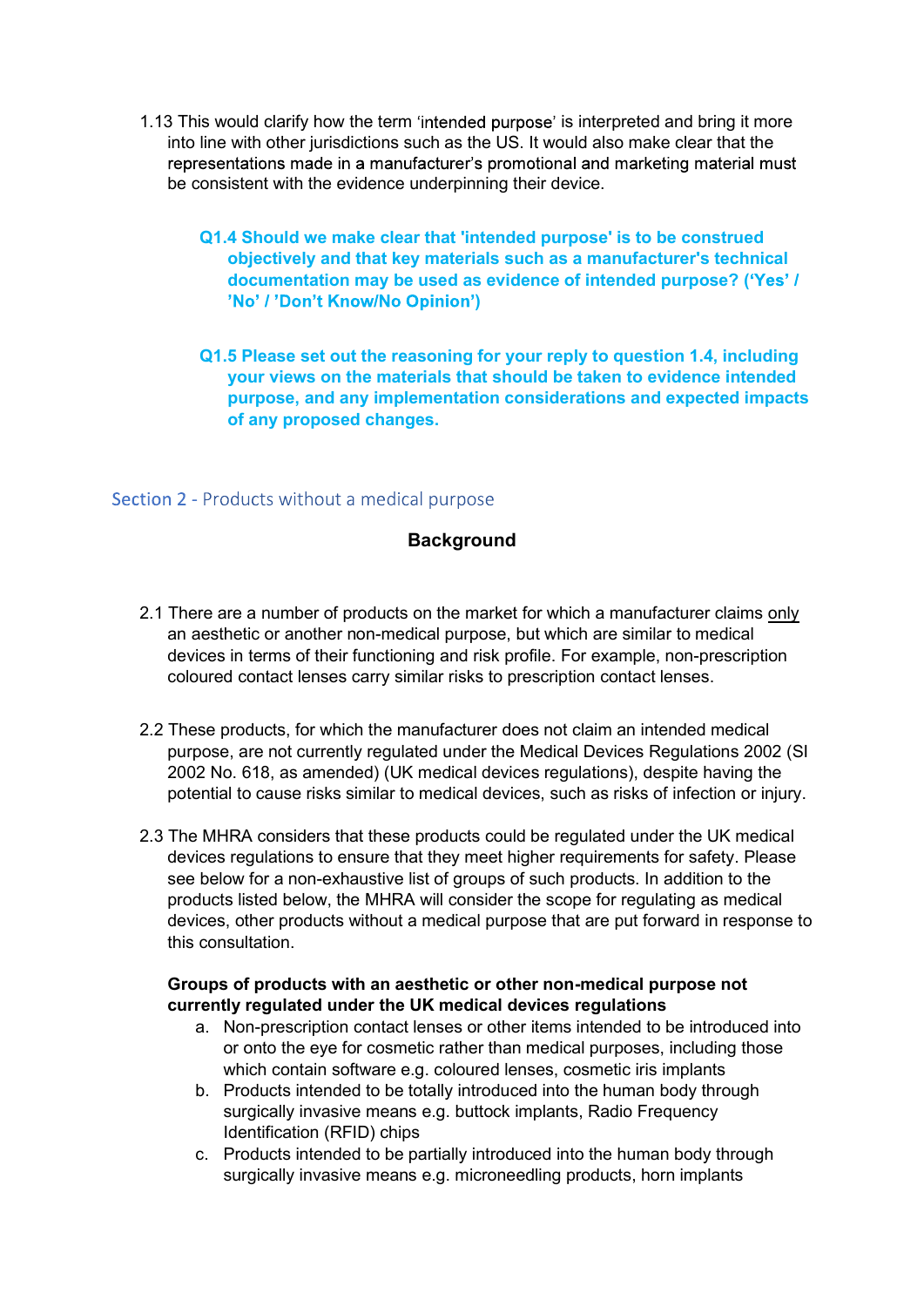- 1.13 This would clarify how the term 'intended purpose' is interpreted and bring it more<br>into line with other jurisdictions such as the US. It would also make clear that the<br>representations made in a manufacturer's promoti into line with other jurisdictions such as the US. It would also make clear that the be consistent with the evidence underpinning their device.
	- Q1.4 Should we make clear that 'intended purpose' is to be construed objectively and that key materials such as a manufacturer's technical documentation may be used as evidence of intended purpose? ('Yes' / )
	- Q1.5 Please set out the reasoning for your reply to question 1.4, including your views on the materials that should be taken to evidence intended purpose, and any implementation considerations and expected impacts of any proposed changes.

## Section 2 - Products without a medical purpose

## **Background**

- 2.1 There are a number of products on the market for which a manufacturer claims only an aesthetic or another non-medical purpose, but which are similar to medical devices in terms of their functioning and risk profile. For example, non-prescription coloured contact lenses carry similar risks to prescription contact lenses.
- 2.2 These products, for which the manufacturer does not claim an intended medical purpose, are not currently regulated under the Medical Devices Regulations 2002 (SI 2002 No. 618, as amended) (UK medical devices regulations), despite having the potential to cause risks similar to medical devices, such as risks of infection or injury.
- 2.3 The MHRA considers that these products could be regulated under the UK medical devices regulations to ensure that they meet higher requirements for safety. Please see below for a non-exhaustive list of groups of such products. In addition to the products listed below, the MHRA will consider the scope for regulating as medical devices, other products without a medical purpose that are put forward in response to this consultation.

#### Groups of products with an aesthetic or other non-medical purpose not currently regulated under the UK medical devices regulations

- a. Non-prescription contact lenses or other items intended to be introduced into or onto the eye for cosmetic rather than medical purposes, including those which contain software e.g. coloured lenses, cosmetic iris implants
- b. Products intended to be totally introduced into the human body through surgically invasive means e.g. buttock implants, Radio Frequency Identification (RFID) chips
- c. Products intended to be partially introduced into the human body through surgically invasive means e.g. microneedling products, horn implants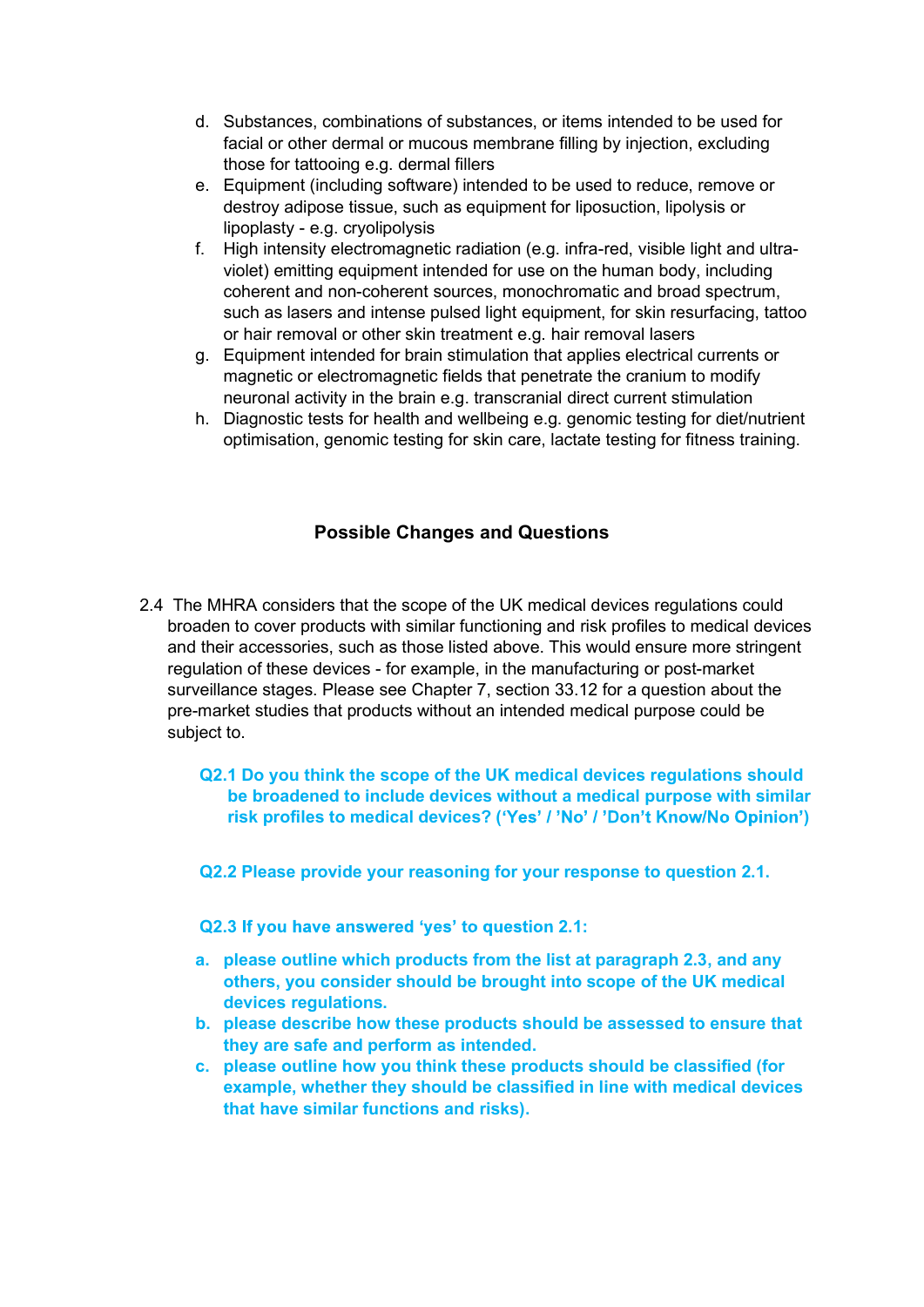- d. Substances, combinations of substances, or items intended to be used for<br>facial or other dermal or mucous membrane filling by injection, excluding<br>those for tattooing e.g. dermal fillers<br>e. Equipment (including software facial or other dermal or mucous membrane filling by injection, excluding those for tattooing e.g. dermal fillers
- e. Equipment (including software) intended to be used to reduce, remove or destroy adipose tissue, such as equipment for liposuction, lipolysis or lipoplasty - e.g. cryolipolysis
- f. High intensity electromagnetic radiation (e.g. infra-red, visible light and ultraviolet) emitting equipment intended for use on the human body, including coherent and non-coherent sources, monochromatic and broad spectrum, such as lasers and intense pulsed light equipment, for skin resurfacing, tattoo or hair removal or other skin treatment e.g. hair removal lasers
- g. Equipment intended for brain stimulation that applies electrical currents or magnetic or electromagnetic fields that penetrate the cranium to modify neuronal activity in the brain e.g. transcranial direct current stimulation
- h. Diagnostic tests for health and wellbeing e.g. genomic testing for diet/nutrient optimisation, genomic testing for skin care, lactate testing for fitness training.

# Possible Changes and Questions

- 2.4 The MHRA considers that the scope of the UK medical devices regulations could broaden to cover products with similar functioning and risk profiles to medical devices and their accessories, such as those listed above. This would ensure more stringent regulation of these devices - for example, in the manufacturing or post-market surveillance stages. Please see Chapter 7, section 33.12 for a question about the pre-market studies that products without an intended medical purpose could be subject to.
	- Q2.1 Do you think the scope of the UK medical devices regulations should be broadened to include devices without a medical purpose with similar risk profiles to medical devices? ('Yes' / 'No' / 'Don't Know/No Opinion')
	- Q2.2 Please provide your reasoning for your response to question 2.1.
	- Q2.3 If you have answered 'yes' to question 2.1:
	- a. please outline which products from the list at paragraph 2.3, and any others, you consider should be brought into scope of the UK medical devices regulations.
	- b. please describe how these products should be assessed to ensure that they are safe and perform as intended.
	- c. please outline how you think these products should be classified (for example, whether they should be classified in line with medical devices that have similar functions and risks).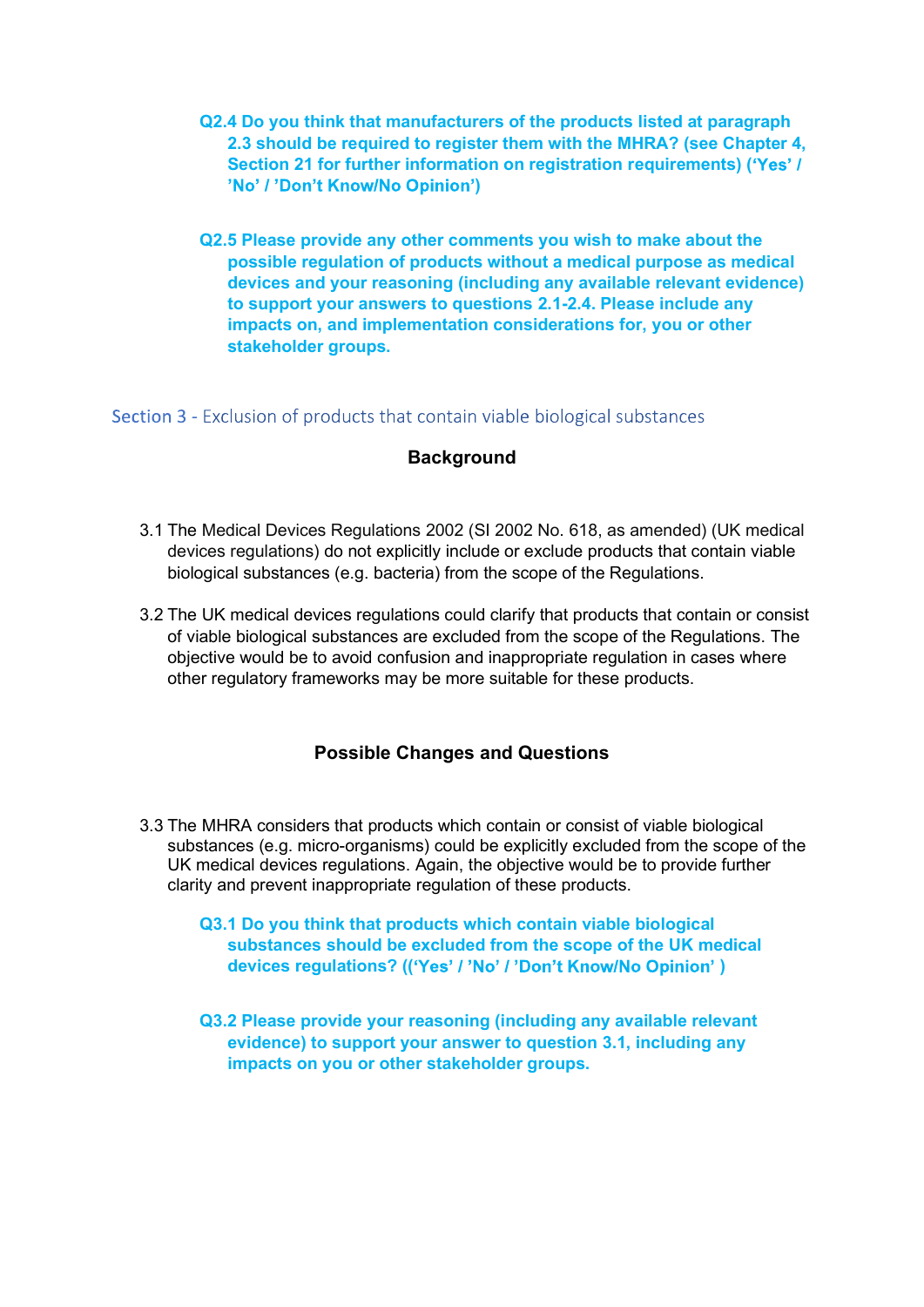- Q2.4 Do you think that manufacturers of the products listed at paragraph<br>2.3 should be required to register them with the MHRA? (see Chapter 4,<br>Section 21 for further information on registration requirements) ('Yes' /<br>'No' 2.3 should be required to register them with the MHRA? (see Chapter 4, Section 21 for further information on registration requirements) ('Yes' / )
- Q2.5 Please provide any other comments you wish to make about the possible regulation of products without a medical purpose as medical devices and your reasoning (including any available relevant evidence) to support your answers to questions 2.1-2.4. Please include any impacts on, and implementation considerations for, you or other stakeholder groups.

Section 3 - Exclusion of products that contain viable biological substances

## Background

- 3.1 The Medical Devices Regulations 2002 (SI 2002 No. 618, as amended) (UK medical devices regulations) do not explicitly include or exclude products that contain viable biological substances (e.g. bacteria) from the scope of the Regulations.
- 3.2 The UK medical devices regulations could clarify that products that contain or consist of viable biological substances are excluded from the scope of the Regulations. The objective would be to avoid confusion and inappropriate regulation in cases where other regulatory frameworks may be more suitable for these products.

## Possible Changes and Questions

3.3 The MHRA considers that products which contain or consist of viable biological substances (e.g. micro-organisms) could be explicitly excluded from the scope of the UK medical devices regulations. Again, the objective would be to provide further clarity and prevent inappropriate regulation of these products.

Q3.1 Do you think that products which contain viable biological substances should be excluded from the scope of the UK medical devices regulations? (('Yes' / 'No' / 'Don't Know/No Opinion')

Q3.2 Please provide your reasoning (including any available relevant evidence) to support your answer to question 3.1, including any impacts on you or other stakeholder groups.